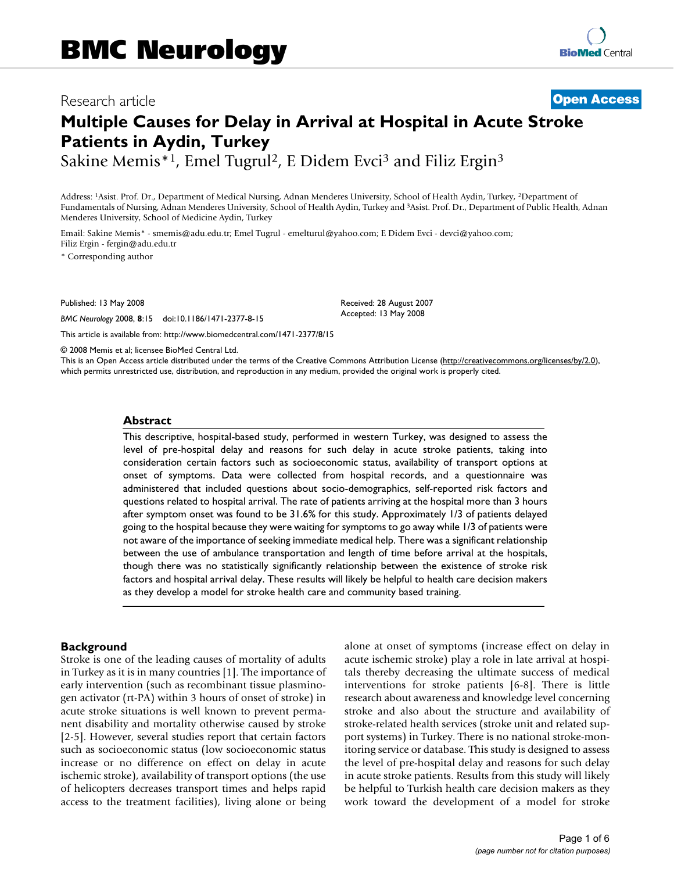# Research article **[Open Access](http://www.biomedcentral.com/info/about/charter/)**

# **Multiple Causes for Delay in Arrival at Hospital in Acute Stroke Patients in Aydin, Turkey**

Sakine Memis<sup>\*1</sup>, Emel Tugrul<sup>2</sup>, E Didem Evci<sup>3</sup> and Filiz Ergin<sup>3</sup>

Address: 1Asist. Prof. Dr., Department of Medical Nursing, Adnan Menderes University, School of Health Aydin, Turkey, 2Department of Fundamentals of Nursing, Adnan Menderes University, School of Health Aydin, Turkey and 3Asist. Prof. Dr., Department of Public Health, Adnan Menderes University, School of Medicine Aydin, Turkey

Email: Sakine Memis\* - smemis@adu.edu.tr; Emel Tugrul - emelturul@yahoo.com; E Didem Evci - devci@yahoo.com; Filiz Ergin - fergin@adu.edu.tr

\* Corresponding author

Published: 13 May 2008

*BMC Neurology* 2008, **8**:15 doi:10.1186/1471-2377-8-15

[This article is available from: http://www.biomedcentral.com/1471-2377/8/15](http://www.biomedcentral.com/1471-2377/8/15)

© 2008 Memis et al; licensee BioMed Central Ltd.

This is an Open Access article distributed under the terms of the Creative Commons Attribution License [\(http://creativecommons.org/licenses/by/2.0\)](http://creativecommons.org/licenses/by/2.0), which permits unrestricted use, distribution, and reproduction in any medium, provided the original work is properly cited.

Received: 28 August 2007 Accepted: 13 May 2008

# **Abstract**

This descriptive, hospital-based study, performed in western Turkey, was designed to assess the level of pre-hospital delay and reasons for such delay in acute stroke patients, taking into consideration certain factors such as socioeconomic status, availability of transport options at onset of symptoms. Data were collected from hospital records, and a questionnaire was administered that included questions about socio-demographics, self-reported risk factors and questions related to hospital arrival. The rate of patients arriving at the hospital more than 3 hours after symptom onset was found to be 31.6% for this study. Approximately 1/3 of patients delayed going to the hospital because they were waiting for symptoms to go away while 1/3 of patients were not aware of the importance of seeking immediate medical help. There was a significant relationship between the use of ambulance transportation and length of time before arrival at the hospitals, though there was no statistically significantly relationship between the existence of stroke risk factors and hospital arrival delay. These results will likely be helpful to health care decision makers as they develop a model for stroke health care and community based training.

# **Background**

Stroke is one of the leading causes of mortality of adults in Turkey as it is in many countries [1]. The importance of early intervention (such as recombinant tissue plasminogen activator (rt-PA) within 3 hours of onset of stroke) in acute stroke situations is well known to prevent permanent disability and mortality otherwise caused by stroke [2-5]. However, several studies report that certain factors such as socioeconomic status (low socioeconomic status increase or no difference on effect on delay in acute ischemic stroke), availability of transport options (the use of helicopters decreases transport times and helps rapid access to the treatment facilities), living alone or being alone at onset of symptoms (increase effect on delay in acute ischemic stroke) play a role in late arrival at hospitals thereby decreasing the ultimate success of medical interventions for stroke patients [6-8]. There is little research about awareness and knowledge level concerning stroke and also about the structure and availability of stroke-related health services (stroke unit and related support systems) in Turkey. There is no national stroke-monitoring service or database. This study is designed to assess the level of pre-hospital delay and reasons for such delay in acute stroke patients. Results from this study will likely be helpful to Turkish health care decision makers as they work toward the development of a model for stroke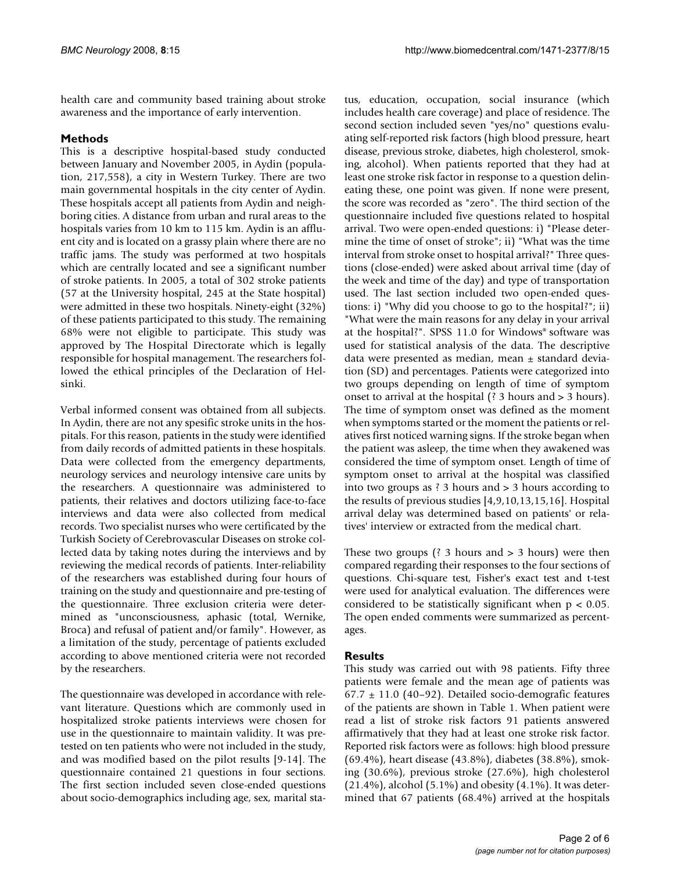health care and community based training about stroke awareness and the importance of early intervention.

# **Methods**

This is a descriptive hospital-based study conducted between January and November 2005, in Aydin (population, 217,558), a city in Western Turkey. There are two main governmental hospitals in the city center of Aydin. These hospitals accept all patients from Aydin and neighboring cities. A distance from urban and rural areas to the hospitals varies from 10 km to 115 km. Aydin is an affluent city and is located on a grassy plain where there are no traffic jams. The study was performed at two hospitals which are centrally located and see a significant number of stroke patients. In 2005, a total of 302 stroke patients (57 at the University hospital, 245 at the State hospital) were admitted in these two hospitals. Ninety-eight (32%) of these patients participated to this study. The remaining 68% were not eligible to participate. This study was approved by The Hospital Directorate which is legally responsible for hospital management. The researchers followed the ethical principles of the Declaration of Helsinki.

Verbal informed consent was obtained from all subjects. In Aydin, there are not any spesific stroke units in the hospitals. For this reason, patients in the study were identified from daily records of admitted patients in these hospitals. Data were collected from the emergency departments, neurology services and neurology intensive care units by the researchers. A questionnaire was administered to patients, their relatives and doctors utilizing face-to-face interviews and data were also collected from medical records. Two specialist nurses who were certificated by the Turkish Society of Cerebrovascular Diseases on stroke collected data by taking notes during the interviews and by reviewing the medical records of patients. Inter-reliability of the researchers was established during four hours of training on the study and questionnaire and pre-testing of the questionnaire. Three exclusion criteria were determined as "unconsciousness, aphasic (total, Wernike, Broca) and refusal of patient and/or family". However, as a limitation of the study, percentage of patients excluded according to above mentioned criteria were not recorded by the researchers.

The questionnaire was developed in accordance with relevant literature. Questions which are commonly used in hospitalized stroke patients interviews were chosen for use in the questionnaire to maintain validity. It was pretested on ten patients who were not included in the study, and was modified based on the pilot results [9-14]. The questionnaire contained 21 questions in four sections. The first section included seven close-ended questions about socio-demographics including age, sex, marital status, education, occupation, social insurance (which includes health care coverage) and place of residence. The second section included seven "yes/no" questions evaluating self-reported risk factors (high blood pressure, heart disease, previous stroke, diabetes, high cholesterol, smoking, alcohol). When patients reported that they had at least one stroke risk factor in response to a question delineating these, one point was given. If none were present, the score was recorded as "zero". The third section of the questionnaire included five questions related to hospital arrival. Two were open-ended questions: i) "Please determine the time of onset of stroke"; ii) "What was the time interval from stroke onset to hospital arrival?" Three questions (close-ended) were asked about arrival time (day of the week and time of the day) and type of transportation used. The last section included two open-ended questions: i) "Why did you choose to go to the hospital?"; ii) "What were the main reasons for any delay in your arrival at the hospital?". SPSS 11.0 for Windows® software was used for statistical analysis of the data. The descriptive data were presented as median, mean  $\pm$  standard deviation (SD) and percentages. Patients were categorized into two groups depending on length of time of symptom onset to arrival at the hospital (? 3 hours and > 3 hours). The time of symptom onset was defined as the moment when symptoms started or the moment the patients or relatives first noticed warning signs. If the stroke began when the patient was asleep, the time when they awakened was considered the time of symptom onset. Length of time of symptom onset to arrival at the hospital was classified into two groups as ? 3 hours and > 3 hours according to the results of previous studies [4,9,10,13,15,16]. Hospital arrival delay was determined based on patients' or relatives' interview or extracted from the medical chart.

These two groups  $(3, 3, 3)$  hours and  $> 3$  hours) were then compared regarding their responses to the four sections of questions. Chi-square test, Fisher's exact test and t-test were used for analytical evaluation. The differences were considered to be statistically significant when  $p < 0.05$ . The open ended comments were summarized as percentages.

# **Results**

This study was carried out with 98 patients. Fifty three patients were female and the mean age of patients was  $67.7 \pm 11.0$  (40–92). Detailed socio-demografic features of the patients are shown in Table 1. When patient were read a list of stroke risk factors 91 patients answered affirmatively that they had at least one stroke risk factor. Reported risk factors were as follows: high blood pressure (69.4%), heart disease (43.8%), diabetes (38.8%), smoking (30.6%), previous stroke (27.6%), high cholesterol  $(21.4\%)$ , alcohol  $(5.1\%)$  and obesity  $(4.1\%)$ . It was determined that 67 patients (68.4%) arrived at the hospitals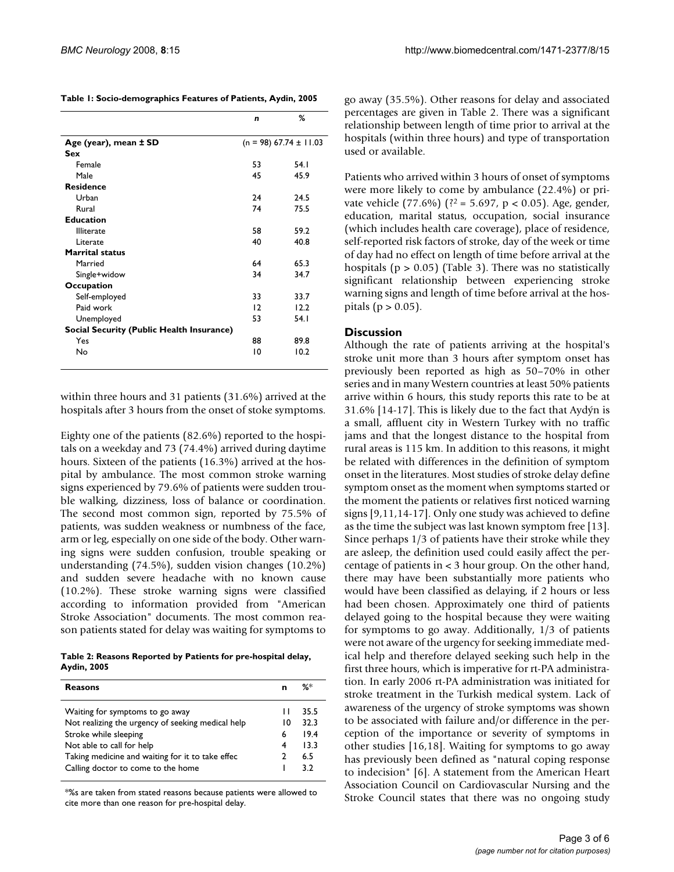|  |  | Table 1: Socio-demographics Features of Patients, Aydin, 2005 |  |  |  |  |
|--|--|---------------------------------------------------------------|--|--|--|--|
|--|--|---------------------------------------------------------------|--|--|--|--|

|                                                  | n                        | %    |
|--------------------------------------------------|--------------------------|------|
| Age (year), mean ± SD                            | $(n = 98)$ 67.74 ± 11.03 |      |
| Sex                                              |                          |      |
| Female                                           | 53                       | 54.1 |
| Male                                             | 45                       | 45.9 |
| <b>Residence</b>                                 |                          |      |
| Urban                                            | 24                       | 24.5 |
| Rural                                            | 74                       | 75.5 |
| <b>Education</b>                                 |                          |      |
| <b>Illiterate</b>                                | 58                       | 59.2 |
| I iterate                                        | 40                       | 40.8 |
| <b>Marrital status</b>                           |                          |      |
| Married                                          | 64                       | 65.3 |
| Single+widow                                     | 34                       | 34.7 |
| Occupation                                       |                          |      |
| Self-employed                                    | 33                       | 33.7 |
| Paid work                                        | 12                       | 12.2 |
| Unemployed                                       | 53                       | 54.1 |
| <b>Social Security (Public Health Insurance)</b> |                          |      |
| Yes                                              | 88                       | 89.8 |
| No                                               | 10                       | 10.2 |
|                                                  |                          |      |

within three hours and 31 patients (31.6%) arrived at the hospitals after 3 hours from the onset of stoke symptoms.

Eighty one of the patients (82.6%) reported to the hospitals on a weekday and 73 (74.4%) arrived during daytime hours. Sixteen of the patients (16.3%) arrived at the hospital by ambulance. The most common stroke warning signs experienced by 79.6% of patients were sudden trouble walking, dizziness, loss of balance or coordination. The second most common sign, reported by 75.5% of patients, was sudden weakness or numbness of the face, arm or leg, especially on one side of the body. Other warning signs were sudden confusion, trouble speaking or understanding (74.5%), sudden vision changes (10.2%) and sudden severe headache with no known cause (10.2%). These stroke warning signs were classified according to information provided from "American Stroke Association" documents. The most common reason patients stated for delay was waiting for symptoms to

**Table 2: Reasons Reported by Patients for pre-hospital delay, Aydin, 2005**

| <b>Reasons</b>                                    | n  | %*   |
|---------------------------------------------------|----|------|
| Waiting for symptoms to go away                   | ш  | 35.5 |
| Not realizing the urgency of seeking medical help | 10 | 32.3 |
| Stroke while sleeping                             | 6  | 19.4 |
| Not able to call for help                         | 4  | 13.3 |
| Taking medicine and waiting for it to take effec  |    | 6.5  |
| Calling doctor to come to the home                |    | 32   |

\*%s are taken from stated reasons because patients were allowed to cite more than one reason for pre-hospital delay.

go away (35.5%). Other reasons for delay and associated percentages are given in Table 2. There was a significant relationship between length of time prior to arrival at the hospitals (within three hours) and type of transportation used or available.

Patients who arrived within 3 hours of onset of symptoms were more likely to come by ambulance (22.4%) or private vehicle (77.6%) (?<sup>2</sup> = 5.697, p < 0.05). Age, gender, education, marital status, occupation, social insurance (which includes health care coverage), place of residence, self-reported risk factors of stroke, day of the week or time of day had no effect on length of time before arrival at the hospitals ( $p > 0.05$ ) (Table 3). There was no statistically significant relationship between experiencing stroke warning signs and length of time before arrival at the hospitals ( $p > 0.05$ ).

# **Discussion**

Although the rate of patients arriving at the hospital's stroke unit more than 3 hours after symptom onset has previously been reported as high as 50–70% in other series and in many Western countries at least 50% patients arrive within 6 hours, this study reports this rate to be at 31.6% [14-17]. This is likely due to the fact that Aydýn is a small, affluent city in Western Turkey with no traffic jams and that the longest distance to the hospital from rural areas is 115 km. In addition to this reasons, it might be related with differences in the definition of symptom onset in the literatures. Most studies of stroke delay define symptom onset as the moment when symptoms started or the moment the patients or relatives first noticed warning signs [9,11,14-17]. Only one study was achieved to define as the time the subject was last known symptom free [13]. Since perhaps 1/3 of patients have their stroke while they are asleep, the definition used could easily affect the percentage of patients in < 3 hour group. On the other hand, there may have been substantially more patients who would have been classified as delaying, if 2 hours or less had been chosen. Approximately one third of patients delayed going to the hospital because they were waiting for symptoms to go away. Additionally, 1/3 of patients were not aware of the urgency for seeking immediate medical help and therefore delayed seeking such help in the first three hours, which is imperative for rt-PA administration. In early 2006 rt-PA administration was initiated for stroke treatment in the Turkish medical system. Lack of awareness of the urgency of stroke symptoms was shown to be associated with failure and/or difference in the perception of the importance or severity of symptoms in other studies [16,18]. Waiting for symptoms to go away has previously been defined as "natural coping response to indecision" [6]. A statement from the American Heart Association Council on Cardiovascular Nursing and the Stroke Council states that there was no ongoing study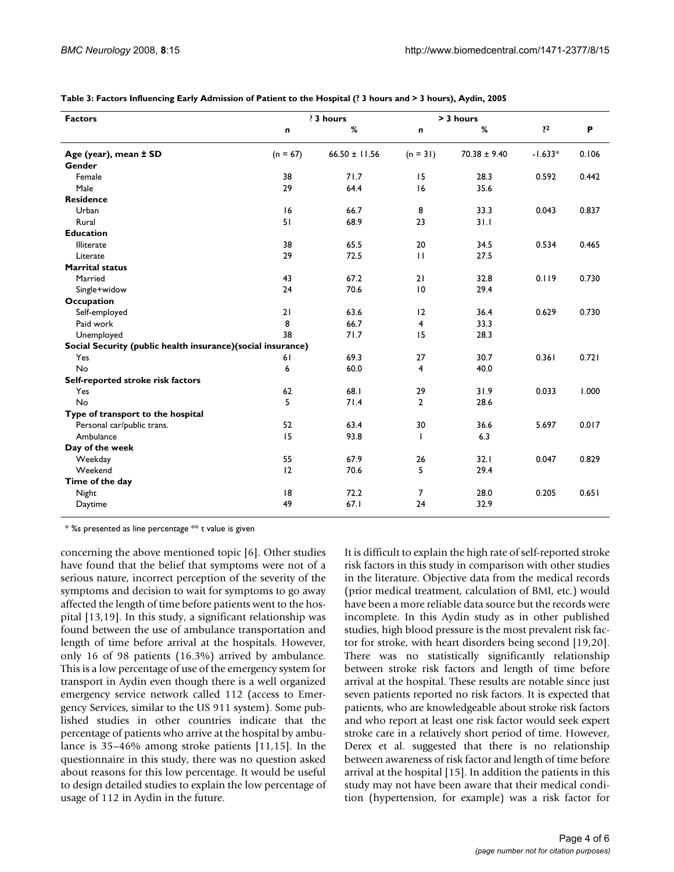| <b>Factors</b>                                              | ? 3 hours   |                   | > 3 hours      |                  |              |       |
|-------------------------------------------------------------|-------------|-------------------|----------------|------------------|--------------|-------|
|                                                             | $\mathbf n$ | %                 | n              | %                | $\mathbf{r}$ | P     |
| Age (year), mean ± SD                                       | $(n = 67)$  | $66.50 \pm 11.56$ | $(n = 31)$     | $70.38 \pm 9.40$ | $-1.633*$    | 0.106 |
| Gender                                                      |             |                   |                |                  |              |       |
| Female                                                      | 38          | 71.7              | 15             | 28.3             | 0.592        | 0.442 |
| Male                                                        | 29          | 64.4              | 16             | 35.6             |              |       |
| <b>Residence</b>                                            |             |                   |                |                  |              |       |
| Urban                                                       | 16          | 66.7              | 8              | 33.3             | 0.043        | 0.837 |
| Rural                                                       | 51          | 68.9              | 23             | 31.1             |              |       |
| <b>Education</b>                                            |             |                   |                |                  |              |       |
| Illiterate                                                  | 38          | 65.5              | 20             | 34.5             | 0.534        | 0.465 |
| Literate                                                    | 29          | 72.5              | $\mathbf{H}$   | 27.5             |              |       |
| <b>Marrital status</b>                                      |             |                   |                |                  |              |       |
| Married                                                     | 43          | 67.2              | 21             | 32.8             | 0.119        | 0.730 |
| Single+widow                                                | 24          | 70.6              | 10             | 29.4             |              |       |
| Occupation                                                  |             |                   |                |                  |              |       |
| Self-employed                                               | 21          | 63.6              | 12             | 36.4             | 0.629        | 0.730 |
| Paid work                                                   | 8           | 66.7              | 4              | 33.3             |              |       |
| Unemployed                                                  | 38          | 71.7              | 15             | 28.3             |              |       |
| Social Security (public health insurance)(social insurance) |             |                   |                |                  |              |       |
| Yes                                                         | 61          | 69.3              | 27             | 30.7             | 0.361        | 0.721 |
| <b>No</b>                                                   | 6           | 60.0              | 4              | 40.0             |              |       |
| Self-reported stroke risk factors                           |             |                   |                |                  |              |       |
| Yes                                                         | 62          | 68.1              | 29             | 31.9             | 0.033        | 1.000 |
| No                                                          | 5           | 71.4              | $\overline{2}$ | 28.6             |              |       |
| Type of transport to the hospital                           |             |                   |                |                  |              |       |
| Personal car/public trans.                                  | 52          | 63.4              | 30             | 36.6             | 5.697        | 0.017 |
| Ambulance                                                   | 15          | 93.8              | T              | 6.3              |              |       |
| Day of the week                                             |             |                   |                |                  |              |       |
| Weekday                                                     | 55          | 67.9              | 26             | 32.1             | 0.047        | 0.829 |
| Weekend                                                     | 12          | 70.6              | 5              | 29.4             |              |       |
| Time of the day                                             |             |                   |                |                  |              |       |
| Night                                                       | 18          | 72.2              | 7              | 28.0             | 0.205        | 0.651 |
| Daytime                                                     | 49          | 67.1              | 24             | 32.9             |              |       |

#### **Table 3: Factors Influencing Early Admission of Patient to the Hospital (? 3 hours and > 3 hours), Aydin, 2005**

\* %s presented as line percentage \*\* t value is given

concerning the above mentioned topic [6]. Other studies have found that the belief that symptoms were not of a serious nature, incorrect perception of the severity of the symptoms and decision to wait for symptoms to go away affected the length of time before patients went to the hospital [13,19]. In this study, a significant relationship was found between the use of ambulance transportation and length of time before arrival at the hospitals. However, only 16 of 98 patients (16.3%) arrived by ambulance. This is a low percentage of use of the emergency system for transport in Aydin even though there is a well organized emergency service network called 112 (access to Emergency Services, similar to the US 911 system). Some published studies in other countries indicate that the percentage of patients who arrive at the hospital by ambulance is 35–46% among stroke patients [11,15]. In the questionnaire in this study, there was no question asked about reasons for this low percentage. It would be useful to design detailed studies to explain the low percentage of usage of 112 in Aydin in the future.

It is difficult to explain the high rate of self-reported stroke risk factors in this study in comparison with other studies in the literature. Objective data from the medical records (prior medical treatment, calculation of BMI, etc.) would have been a more reliable data source but the records were incomplete. In this Aydin study as in other published studies, high blood pressure is the most prevalent risk factor for stroke, with heart disorders being second [19,20]. There was no statistically significantly relationship between stroke risk factors and length of time before arrival at the hospital. These results are notable since just seven patients reported no risk factors. It is expected that patients, who are knowledgeable about stroke risk factors and who report at least one risk factor would seek expert stroke care in a relatively short period of time. However, Derex et al. suggested that there is no relationship between awareness of risk factor and length of time before arrival at the hospital [15]. In addition the patients in this study may not have been aware that their medical condition (hypertension, for example) was a risk factor for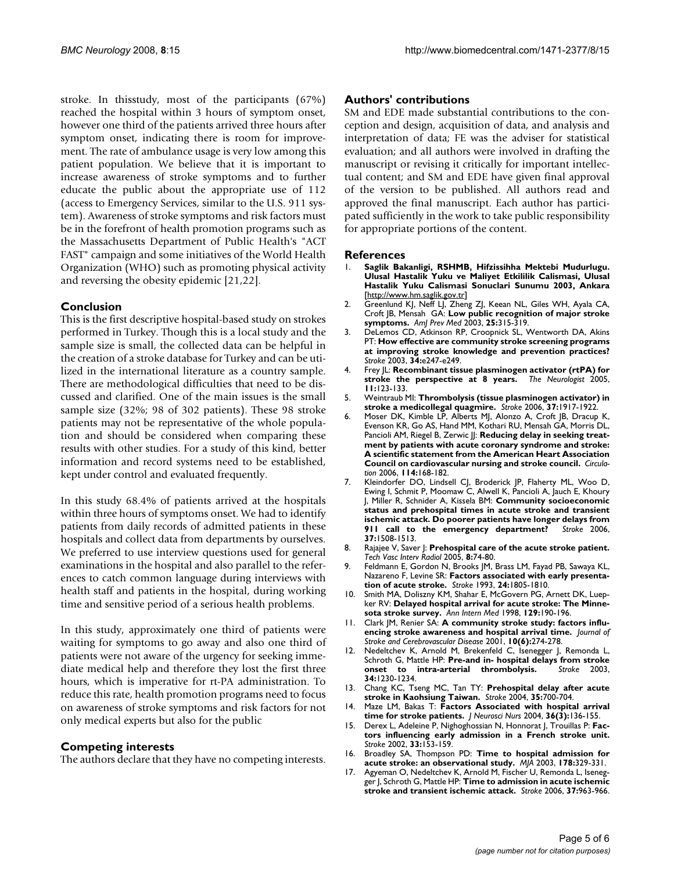stroke. In thisstudy, most of the participants (67%) reached the hospital within 3 hours of symptom onset, however one third of the patients arrived three hours after symptom onset, indicating there is room for improvement. The rate of ambulance usage is very low among this patient population. We believe that it is important to increase awareness of stroke symptoms and to further educate the public about the appropriate use of 112 (access to Emergency Services, similar to the U.S. 911 system). Awareness of stroke symptoms and risk factors must be in the forefront of health promotion programs such as the Massachusetts Department of Public Health's "ACT FAST" campaign and some initiatives of the World Health Organization (WHO) such as promoting physical activity and reversing the obesity epidemic [21,22].

# **Conclusion**

This is the first descriptive hospital-based study on strokes performed in Turkey. Though this is a local study and the sample size is small, the collected data can be helpful in the creation of a stroke database for Turkey and can be utilized in the international literature as a country sample. There are methodological difficulties that need to be discussed and clarified. One of the main issues is the small sample size (32%; 98 of 302 patients). These 98 stroke patients may not be representative of the whole population and should be considered when comparing these results with other studies. For a study of this kind, better information and record systems need to be established, kept under control and evaluated frequently.

In this study 68.4% of patients arrived at the hospitals within three hours of symptoms onset. We had to identify patients from daily records of admitted patients in these hospitals and collect data from departments by ourselves. We preferred to use interview questions used for general examinations in the hospital and also parallel to the references to catch common language during interviews with health staff and patients in the hospital, during working time and sensitive period of a serious health problems.

In this study, approximately one third of patients were waiting for symptoms to go away and also one third of patients were not aware of the urgency for seeking immediate medical help and therefore they lost the first three hours, which is imperative for rt-PA administration. To reduce this rate, health promotion programs need to focus on awareness of stroke symptoms and risk factors for not only medical experts but also for the public

# **Competing interests**

The authors declare that they have no competing interests.

# **Authors' contributions**

SM and EDE made substantial contributions to the conception and design, acquisition of data, and analysis and interpretation of data; FE was the adviser for statistical evaluation; and all authors were involved in drafting the manuscript or revising it critically for important intellectual content; and SM and EDE have given final approval of the version to be published. All authors read and approved the final manuscript. Each author has participated sufficiently in the work to take public responsibility for appropriate portions of the content.

#### **References**

- 1. **Saglik Bakanligi, RSHMB, Hifzissihha Mektebi Mudurlugu. Ulusal Hastalik Yuku ve Maliyet Etkililik Calismasi, Ulusal Hastalik Yuku Calismasi Sonuclari Sunumu 2003, Ankara** [<http://www.hm.saglik.gov.tr>]
- 2. Greenlund KJ, Neff LJ, Zheng ZJ, Keean NL, Giles WH, Ayala CA, Croft JB, Mensah GA: **Low public recognition of major stroke symptoms.** *AmJ Prev Med* 2003, **25:**315-319.
- 3. DeLemos CD, Atkinson RP, Croopnick SL, Wentworth DA, Akins PT: **[How effective are community stroke screening programs](http://www.ncbi.nlm.nih.gov/entrez/query.fcgi?cmd=Retrieve&db=PubMed&dopt=Abstract&list_uids=14631093) [at improving stroke knowledge and prevention practices?](http://www.ncbi.nlm.nih.gov/entrez/query.fcgi?cmd=Retrieve&db=PubMed&dopt=Abstract&list_uids=14631093)** *Stroke* 2003, **34:**e247-e249.
- 4. Frey JL: **[Recombinant tissue plasminogen activator \(rtPA\) for](http://www.ncbi.nlm.nih.gov/entrez/query.fcgi?cmd=Retrieve&db=PubMed&dopt=Abstract&list_uids=15733334) [stroke the perspective at 8 years.](http://www.ncbi.nlm.nih.gov/entrez/query.fcgi?cmd=Retrieve&db=PubMed&dopt=Abstract&list_uids=15733334)** *The Neurologist* 2005, **11:**123-133.
- 5. Weintraub MI: **[Thrombolysis \(tissue plasminogen activator\) in](http://www.ncbi.nlm.nih.gov/entrez/query.fcgi?cmd=Retrieve&db=PubMed&dopt=Abstract&list_uids=16728683) [stroke a medicollegal quagmire.](http://www.ncbi.nlm.nih.gov/entrez/query.fcgi?cmd=Retrieve&db=PubMed&dopt=Abstract&list_uids=16728683)** *Stroke* 2006, **37:**1917-1922.
- 6. Moser DK, Kimble LP, Alberts MJ, Alonzo A, Croft JB, Dracup K, Evenson KR, Go AS, Hand MM, Kothari RU, Mensah GA, Morris DL, Pancioli AM, Riegel B, Zerwic JJ: [Reducing delay in seeking treat](http://www.ncbi.nlm.nih.gov/entrez/query.fcgi?cmd=Retrieve&db=PubMed&dopt=Abstract&list_uids=16801458)**ment by patients with acute coronary syndrome and stroke: [A scientific statement from the American Heart Association](http://www.ncbi.nlm.nih.gov/entrez/query.fcgi?cmd=Retrieve&db=PubMed&dopt=Abstract&list_uids=16801458) [Council on cardiovascular nursing and stroke council.](http://www.ncbi.nlm.nih.gov/entrez/query.fcgi?cmd=Retrieve&db=PubMed&dopt=Abstract&list_uids=16801458)** *Circulation* 2006, **114:**168-182.
- 7. Kleindorfer DO, Lindsell CJ, Broderick JP, Flaherty ML, Woo D, Ewing I, Schmit P, Moomaw C, Alwell K, Pancioli A, Jauch E, Khoury J, Miller R, Schnider A, Kissela BM: **[Community socioeconomic](http://www.ncbi.nlm.nih.gov/entrez/query.fcgi?cmd=Retrieve&db=PubMed&dopt=Abstract&list_uids=16690898) status and prehospital times in acute stroke and transient [ischemic attack. Do poorer patients have longer delays from](http://www.ncbi.nlm.nih.gov/entrez/query.fcgi?cmd=Retrieve&db=PubMed&dopt=Abstract&list_uids=16690898) [911 call to the emergency department?](http://www.ncbi.nlm.nih.gov/entrez/query.fcgi?cmd=Retrieve&db=PubMed&dopt=Abstract&list_uids=16690898) 37:**1508-1513.
- 8. Rajajee V, Saver J: **[Prehospital care of the acute stroke patient.](http://www.ncbi.nlm.nih.gov/entrez/query.fcgi?cmd=Retrieve&db=PubMed&dopt=Abstract&list_uids=16194754)** *Tech Vasc Interv Radiol* 2005, **8:**74-80.
- 9. Feldmann E, Gordon N, Brooks JM, Brass LM, Fayad PB, Sawaya KL, Nazareno F, Levine SR: **[Factors associated with early presenta](http://www.ncbi.nlm.nih.gov/entrez/query.fcgi?cmd=Retrieve&db=PubMed&dopt=Abstract&list_uids=8248959)[tion of acute stroke.](http://www.ncbi.nlm.nih.gov/entrez/query.fcgi?cmd=Retrieve&db=PubMed&dopt=Abstract&list_uids=8248959)** *Stroke* 1993, **24:**1805-1810.
- 10. Smith MA, Doliszny KM, Shahar E, McGovern PG, Arnett DK, Luepker RV: **[Delayed hospital arrival for acute stroke: The Minne](http://www.ncbi.nlm.nih.gov/entrez/query.fcgi?cmd=Retrieve&db=PubMed&dopt=Abstract&list_uids=9696726)[sota stroke survey.](http://www.ncbi.nlm.nih.gov/entrez/query.fcgi?cmd=Retrieve&db=PubMed&dopt=Abstract&list_uids=9696726)** *Ann Intern Med* 1998, **129:**190-196.
- 11. Clark JM, Renier SA: **A community stroke study: factors influencing stroke awareness and hospital arrival time.** *Journal of Stroke and Cerebrovascular Disease* 2001, **10(6):**274-278.
- 12. Nedeltchev K, Arnold M, Brekenfeld C, Isenegger J, Remonda L, Schroth G, Mattle HP: **[Pre-and in- hospital delays from stroke](http://www.ncbi.nlm.nih.gov/entrez/query.fcgi?cmd=Retrieve&db=PubMed&dopt=Abstract&list_uids=12702836)** [onset to intra-arterial thrombolysis.](http://www.ncbi.nlm.nih.gov/entrez/query.fcgi?cmd=Retrieve&db=PubMed&dopt=Abstract&list_uids=12702836) **34:**1230-1234.
- 13. Chang KC, Tseng MC, Tan TY: **[Prehospital delay after acute](http://www.ncbi.nlm.nih.gov/entrez/query.fcgi?cmd=Retrieve&db=PubMed&dopt=Abstract&list_uids=14963279) [stroke in Kaohsiung Taiwan.](http://www.ncbi.nlm.nih.gov/entrez/query.fcgi?cmd=Retrieve&db=PubMed&dopt=Abstract&list_uids=14963279)** *Stroke* 2004, **35:**700-704.
- 14. Maze LM, Bakas T: **[Factors Associated with hospital arrival](http://www.ncbi.nlm.nih.gov/entrez/query.fcgi?cmd=Retrieve&db=PubMed&dopt=Abstract&list_uids=15233413) [time for stroke patients.](http://www.ncbi.nlm.nih.gov/entrez/query.fcgi?cmd=Retrieve&db=PubMed&dopt=Abstract&list_uids=15233413)** *J Neurosci Nurs* 2004, **36(3):**136-155.
- 15. Derex L, Adeleine P, Nighoghossian N, Honnorat J, Trouillas P: **[Fac](http://www.ncbi.nlm.nih.gov/entrez/query.fcgi?cmd=Retrieve&db=PubMed&dopt=Abstract&list_uids=11779905)[tors influencing early admission in a French stroke unit.](http://www.ncbi.nlm.nih.gov/entrez/query.fcgi?cmd=Retrieve&db=PubMed&dopt=Abstract&list_uids=11779905)** *Stroke* 2002, **33:**153-159.
- 16. Broadley SA, Thompson PD: **[Time to hospital admission for](http://www.ncbi.nlm.nih.gov/entrez/query.fcgi?cmd=Retrieve&db=PubMed&dopt=Abstract&list_uids=12670275) [acute stroke: an observational study.](http://www.ncbi.nlm.nih.gov/entrez/query.fcgi?cmd=Retrieve&db=PubMed&dopt=Abstract&list_uids=12670275)** *MJA* 2003, **178:**329-331.
- 17. Agyeman O, Nedeltchev K, Arnold M, Fischer U, Remonda L, Isenegger J, Schroth G, Mattle HP: **[Time to admission in acute ischemic](http://www.ncbi.nlm.nih.gov/entrez/query.fcgi?cmd=Retrieve&db=PubMed&dopt=Abstract&list_uids=16514096) [stroke and transient ischemic attack.](http://www.ncbi.nlm.nih.gov/entrez/query.fcgi?cmd=Retrieve&db=PubMed&dopt=Abstract&list_uids=16514096)** *Stroke* 2006, **37:**963-966.